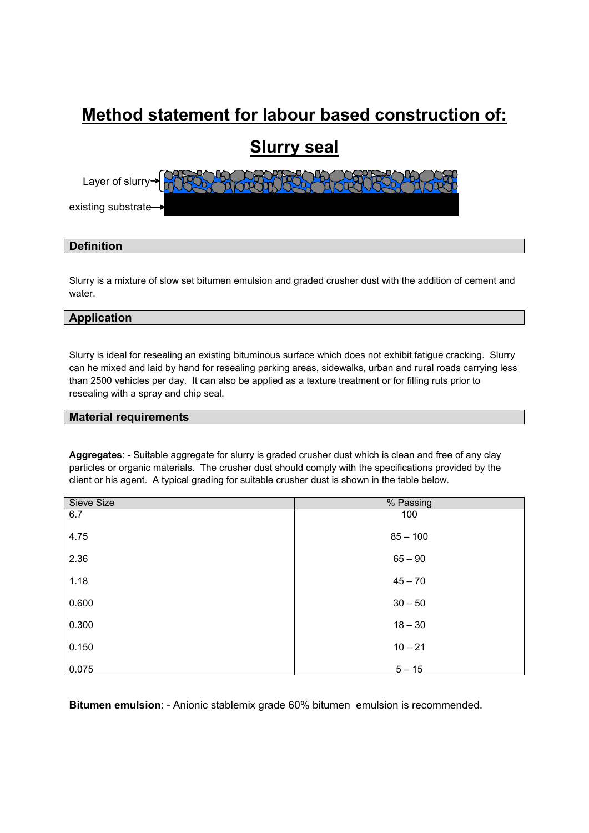# **Method statement for labour based construction of:**

## **Slurry seal**



### **Definition**

Slurry is a mixture of slow set bitumen emulsion and graded crusher dust with the addition of cement and water.

### **Application**

Slurry is ideal for resealing an existing bituminous surface which does not exhibit fatigue cracking. Slurry can he mixed and laid by hand for resealing parking areas, sidewalks, urban and rural roads carrying less than 2500 vehicles per day. It can also be applied as a texture treatment or for filling ruts prior to resealing with a spray and chip seal.

#### **Material requirements**

**Aggregates**: - Suitable aggregate for slurry is graded crusher dust which is clean and free of any clay particles or organic materials. The crusher dust should comply with the specifications provided by the client or his agent. A typical grading for suitable crusher dust is shown in the table below.

| Sieve Size | % Passing  |
|------------|------------|
| 6.7        | 100        |
| 4.75       | $85 - 100$ |
| 2.36       | $65 - 90$  |
| 1.18       | $45 - 70$  |
| 0.600      | $30 - 50$  |
| 0.300      | $18 - 30$  |
| 0.150      | $10 - 21$  |
| 0.075      | $5 - 15$   |

**Bitumen emulsion**: - Anionic stablemix grade 60% bitumen emulsion is recommended.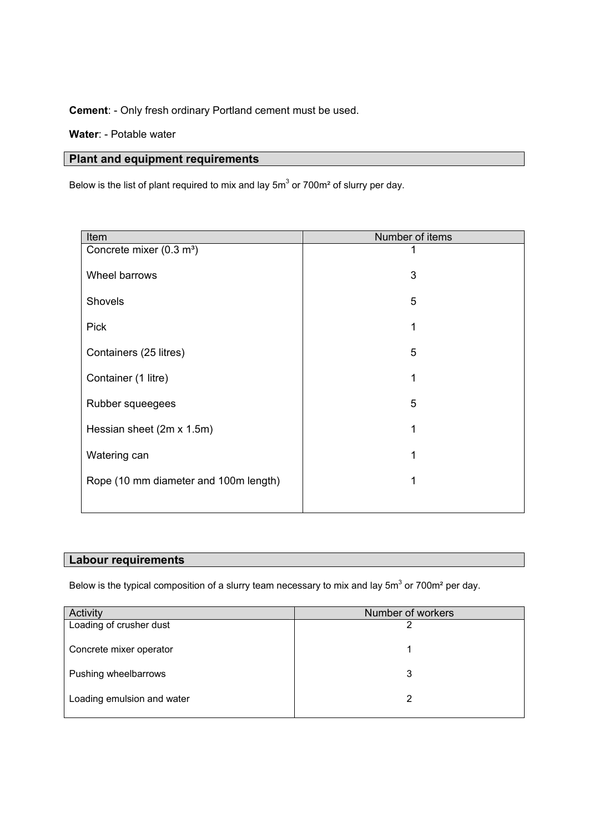**Cement**: - Only fresh ordinary Portland cement must be used.

**Water**: - Potable water

### **Plant and equipment requirements**

Below is the list of plant required to mix and lay  $5m^3$  or 700m<sup>2</sup> of slurry per day.

| Item                                  | Number of items |  |  |
|---------------------------------------|-----------------|--|--|
| Concrete mixer (0.3 m <sup>3</sup> )  |                 |  |  |
| Wheel barrows                         | 3               |  |  |
| Shovels                               | 5               |  |  |
| <b>Pick</b>                           | 1               |  |  |
| Containers (25 litres)                | 5               |  |  |
| Container (1 litre)                   |                 |  |  |
| Rubber squeegees                      | 5               |  |  |
| Hessian sheet (2m x 1.5m)             |                 |  |  |
| Watering can                          |                 |  |  |
| Rope (10 mm diameter and 100m length) | 1               |  |  |
|                                       |                 |  |  |

### **Labour requirements**

Below is the typical composition of a slurry team necessary to mix and lay  $5m^3$  or 700m<sup>2</sup> per day.

| Activity                   | Number of workers |  |  |
|----------------------------|-------------------|--|--|
| Loading of crusher dust    | ົ                 |  |  |
| Concrete mixer operator    |                   |  |  |
| Pushing wheelbarrows       | 3                 |  |  |
| Loading emulsion and water | 2                 |  |  |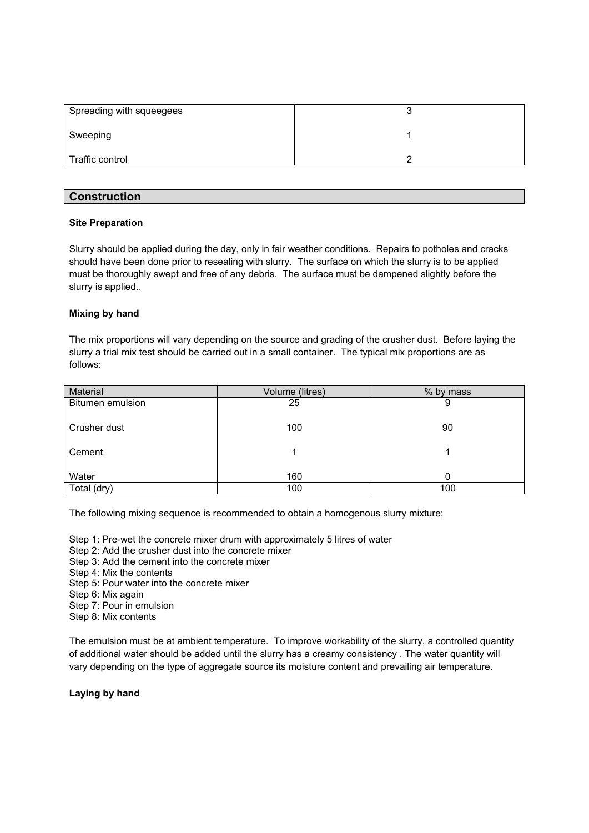| Spreading with squeegees |  |
|--------------------------|--|
| Sweeping                 |  |
| Traffic control          |  |

### **Construction**

### **Site Preparation**

Slurry should be applied during the day, only in fair weather conditions. Repairs to potholes and cracks should have been done prior to resealing with slurry. The surface on which the slurry is to be applied must be thoroughly swept and free of any debris. The surface must be dampened slightly before the slurry is applied..

#### **Mixing by hand**

The mix proportions will vary depending on the source and grading of the crusher dust. Before laying the slurry a trial mix test should be carried out in a small container. The typical mix proportions are as follows:

| Material         | Volume (litres) | % by mass |
|------------------|-----------------|-----------|
| Bitumen emulsion | 25              | 9         |
| Crusher dust     | 100             | 90        |
| Cement           |                 |           |
| Water            | 160             | ი         |
| Total (dry)      | 100             | 100       |

The following mixing sequence is recommended to obtain a homogenous slurry mixture:

- Step 1: Pre-wet the concrete mixer drum with approximately 5 litres of water
- Step 2: Add the crusher dust into the concrete mixer
- Step 3: Add the cement into the concrete mixer
- Step 4: Mix the contents
- Step 5: Pour water into the concrete mixer
- Step 6: Mix again
- Step 7: Pour in emulsion
- Step 8: Mix contents

The emulsion must be at ambient temperature. To improve workability of the slurry, a controlled quantity of additional water should be added until the slurry has a creamy consistency . The water quantity will vary depending on the type of aggregate source its moisture content and prevailing air temperature.

**Laying by hand**